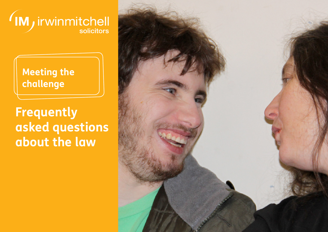

# **Meeting the challenge**

**Frequently asked questions about the law**

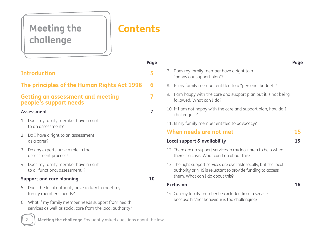# Meeting the | **Contents challenge**

|                                                                                                                    | Page |
|--------------------------------------------------------------------------------------------------------------------|------|
| <b>Introduction</b>                                                                                                |      |
| The principles of the Human Rights Act 1998                                                                        | 6    |
| <b>Getting an assessment and meeting</b><br>people's support needs                                                 |      |
| <b>Assessment</b>                                                                                                  | 7    |
| Does my family member have a right<br>1.<br>to an assessment?                                                      |      |
| Do I have a right to an assessment<br>2.<br>as a carer?                                                            |      |
| Do any experts have a role in the<br>3.<br>assessment process?                                                     |      |
| 4. Does my family member have a right<br>to a "functional assessment"?                                             |      |
| <b>Support and care planning</b>                                                                                   | 10   |
| Does the local authority have a duty to meet my<br>5.<br>family member's needs?                                    |      |
| 6. What if my family member needs support from health<br>services as well as social care from the local authority? |      |
|                                                                                                                    |      |

## 7. Does my family member have a right to a "behaviour support plan"? 8. Is my family member entitled to a "personal budget"? 9. I am happy with the care and support plan but it is not being followed. What can I do? 10. If I am not happy with the care and support plan, how do I challenge it? 11. Is my family member entitled to advocacy? **When needs are not met**

# **Local support & availability**

**15 15**

**16**

# 12. There are no support services in my local area to help when there is a crisis. What can I do about this?

13. The right support services are available locally, but the local authority or NHS is reluctant to provide funding to access them. What can I do about this?

#### **Exclusion**

14. Can my family member be excluded from a service because his/her behaviour is too challenging?



**Page**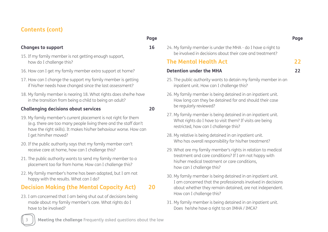## **Contents (cont)**

#### **Changes to support**

- 15. If my family member is not getting enough support, how do I challenge this?
- 16. How can I get my family member extra support at home?
- 17. How can I change the support my family member is getting if his/her needs have changed since the last assessment?
- 18. My family member is nearing 18. What rights does she/he have in the transition from being a child to being an adult?

#### **Challenging decisions about services**

- 19. My family member's current placement is not right for them (e.g. there are too many people living there and the staff don't have the right skills). It makes his/her behaviour worse. How can I get him/her moved?
- 20. If the public authority says that my family member can't receive care at home, how can I challenge this?
- 21. The public authority wants to send my family member to a placement too far from home. How can I challenge this?
- 22. My family member's home has been adapted, but I am not happy with the results. What can I do?

#### **Decision Making (the Mental Capacity Act) 20**

23. I am concerned that I am being shut out of decisions being made about my family member's care. What rights do I have to be involved?

**Page** 

**16**

**20**

24. My family member is under the MHA - do I have a right to be involved in decisions about their care and treatment?

### **The Mental Health Act**

**Detention under the MHA**

**22**

- **22**
- 25. The public authority wants to detain my family member in an inpatient unit. How can I challenge this?
- 26. My family member is being detained in an inpatient unit. How long can they be detained for and should their case be regularly reviewed?
- 27. My family member is being detained in an inpatient unit. What rights do I have to visit them? If visits are being restricted, how can I challenge this?
- 28. My relative is being detained in an inpatient unit. Who has overall responsibility for his/her treatment?
- 29. What are my family member's rights in relation to medical treatment and care conditions? If I am not happy with his/her medical treatment or care conditions, how can I challenge this?
- 30. My family member is being detained in an inpatient unit. I am concerned that the professionals involved in decisions about whether they remain detained, are not independent. How can I challenge this?
- 31. My family member is being detained in an inpatient unit. Does he/she have a right to an IMHA / IMCA?



#### **Page**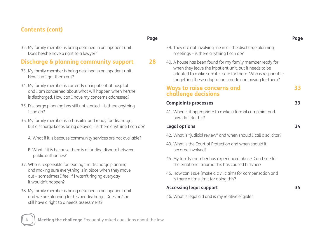# **Contents (cont)**

32. My family member is being detained in an inpatient unit. Does he/she have a right to a lawyer?

## **Discharge & planning community support**

- 33. My family member is being detained in an inpatient unit. How can I get them out?
- 34. My family member is currently an inpatient at hospital and I am concerned about what will happen when he/she is discharged. How can I have my concerns addressed?
- 35. Discharge planning has still not started is there anything I can do?
- 36. My family member is in hospital and ready for discharge, but discharge keeps being delayed – is there anything I can do?
	- A. What if it is because community services are not available?
	- B. What if it is because there is a funding dispute between public authorities?
- 37. Who is responsible for leading the discharge planning and making sure everything is in place when they move out – sometimes I feel if I wasn't ringing everyday it wouldn't happen?
- 38. My family member is being detained in an inpatient unit and we are planning for his/her discharge. Does he/she still have a right to a needs assessment?

**28**

- 39. They are not involving me in all the discharge planning meetings – is there anything I can do?
- 40. A house has been found for my family member ready for when they leave the inpatient unit, but it needs to be adapted to make sure it is safe for them. Who is responsible for getting these adaptations made and paying for them?

#### **Ways to raise concerns and challenge decisions**

| <b>Complaints processes</b> |  |                                                          |  |  |  |  |
|-----------------------------|--|----------------------------------------------------------|--|--|--|--|
|                             |  | 1.1 When is it appropriate to make a formal complaint as |  |  |  |  |

41. When is it appropriate to make a formal complaint and how do I do this?

#### **Legal options**

- 42. What is "judicial review" and when should I call a solicitor?
- 43. What is the Court of Protection and when should it become involved?
- 44. My family member has experienced abuse. Can I sue for the emotional trauma this has caused him/her?
- 45. How can I sue (make a civil claim) for compensation and is there a time limit for doing this?

#### **Accessing legal support**

46. What is legal aid and is my relative eligible?



**33**

**33**

**34**

**35**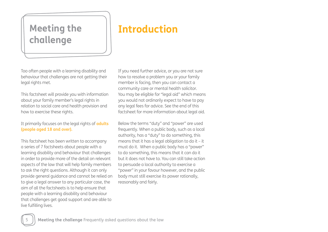# **challenge**

# Meeting the **Introduction**

Too often people with a learning disability and behaviour that challenges are not getting their legal rights met.

This factsheet will provide you with information about your family member's legal rights in relation to social care and health provision and how to exercise these rights.

It primarily focuses on the legal rights of **adults (people aged 18 and over).**

This factsheet has been written to accompany a series of 7 factsheets about people with a learning disability and behaviour that challenges in order to provide more of the detail on relevant aspects of the law that will help family members to ask the right questions. Although it can only provide general guidance and cannot be relied on to give a legal answer to any particular case, the aim of all the factsheets is to help ensure that people with a learning disability and behaviour that challenges get good support and are able to live fulfilling lives.

If you need further advice, or you are not sure how to resolve a problem you or your family member is facing, then you can contact a community care or mental health solicitor. You may be eligible for "legal aid" which means you would not ordinarily expect to have to pay any legal fees for advice. See the end of this factsheet for more information about legal aid.

Below the terms "duty" and "power" are used frequently. When a public body, such as a local authority, has a "duty" to do something, this means that it has a legal obligation to do it – it must do it. When a public body has a "power" to do something, this means that it can do it but it does not have to. You can still take action to persuade a local authority to exercise a "power" in your favour however, and the public body must still exercise its power rationally, reasonably and fairly.

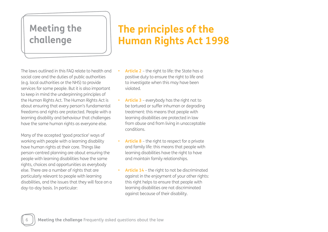# **Meeting the challenge**

# **The principles of the Human Rights Act 1998**

The laws outlined in this FAQ relate to health and social care and the duties of public authorities (e.g. local authorities or the NHS) to provide services for some people. But it is also important to keep in mind the underpinning principles of the Human Rights Act. The Human Rights Act is about ensuring that every person's fundamental freedoms and rights are protected. People with a learning disability and behaviour that challenges have the same human rights as everyone else.

Many of the accepted 'good practice' ways of working with people with a learning disability have human rights at their core. Things like person-centred planning are about ensuring the people with learning disabilities have the same rights, choices and opportunities as everybody else. There are a number of rights that are particularly relevant to people with learning disabilities, and the issues that they will face on a day-to-day basis. In particular:

- **Article 2** the right to life: the State has a positive duty to ensure the right to life and to investigate when this may have been violated.
- **Article 3** everybody has the right not to be tortured or suffer inhuman or degrading treatment: this means that people with learning disabilities are protected in law from abuse and from living in unacceptable conditions.
- **• Article 8** the right to respect for a private and family life: this means that people with learning disabilities have the right to have and maintain family relationships.
- **• Article 14** the right to not be discriminated against in the enjoyment of your other rights: this right helps to ensure that people with learning disabilities are not discriminated against because of their disability.

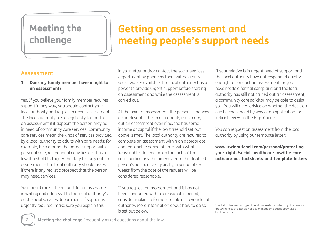# **Meeting the challenge**

# **Getting an assessment and meeting people's support needs**

## **Assessment**

#### **1. Does my family member have a right to an assessment?**

Yes. If you believe your family member requires support in any way, you should contact your local authority and request a needs assessment. The local authority has a legal duty to conduct an assessment if it appears the person may be in need of community care services. Community care services mean the kinds of services provided by a local authority to adults with care needs; for example, help around the home, support with personal care, recreational activities etc. It is a low threshold to trigger the duty to carry out an assessment – the local authority should assess if there is any realistic prospect that the person may need services.

You should make the request for an assessment in writing and address it to the local authority's adult social services department. If support is urgently required, make sure you explain this

in your letter and/or contact the social services department by phone as there will be a duty social worker available. The local authority has a power to provide urgent support before starting an assessment and while the assessment is carried out.

At the point of assessment, the person's finances are irrelevant – the local authority must carry out an assessment even if he/she has some income or capital if the low threshold set out above is met. The local authority are required to complete an assessment within an appropriate and reasonable period of time, with what is 'reasonable' depending on the facts of the case, particularly the urgency from the disabled person's perspective. Typically, a period of 4-6 weeks from the date of the request will be considered reasonable.

If you request an assessment and it has not been conducted within a reasonable period, consider making a formal complaint to your local authority. More information about how to do so is set out below.

If your relative is in urgent need of support and the local authority have not responded quickly enough to conduct an assessment, or you have made a formal complaint and the local authority has still not carried out an assessment, a community care solicitor may be able to assist you. You will need advice on whether the decision can be challenged by way of an application for judicial review in the High Court.<sup>1</sup>

You can request an assessment from the local authority by using our template letter:

**www.irwinmitchell.com/personal/protectingyour-rights/social-healthcare-law/the-careact/care-act-factsheets-and-template-letters**



<sup>1.</sup> A Judicial review is a type of court proceeding in which a judge reviews the lawfulness of a decision or action made by a public body, like a local authority.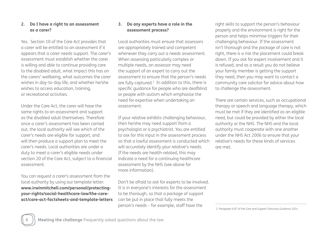#### **2. Do I have a right to an assessment as a carer?**

Yes. Section 10 of the Care Act provides that a carer will be entitled to an assessment if it appears that a carer needs support. The carer's assessment must establish whether the carer is willing and able to continue providing care to the disabled adult, what impact this has on the carers' wellbeing, what outcomes the carer wishes in day-to-day life, and whether he/she wishes to access education, training, or recreational activities.

Under the Care Act, the carer will have the same rights to an assessment and support as the disabled adult themselves. Therefore once a carer's assessment has been carried out, the local authority will see which of the carer's needs are eligible for support, and will then produce a support plan to meet the carer's needs. Local authorities are under a duty to meet a carer's eligible needs under section 20 of the Care Act, subject to a financial assessment.

You can request a carer's assessment from the local authority by using our template letter: **www.irwinmitchell.com/personal/protectingyour-rights/social-healthcare-law/the-careact/care-act-factsheets-and-template-letters**

#### **3. Do any experts have a role in the assessment process?**

Local authorities must ensure that assessors are appropriately trained and competent whenever they carry out a needs assessment. When assessing particularly complex or multiple needs, an assessor may need the support of an expert to carry out the assessment to ensure that the person's needs are fully captured.<sup>2</sup> In addition to this, there is specific guidance for people who are deafblind or people with autism which emphasise the need for expertise when undertaking an assessment.

If your relative exhibits challenging behaviour, then he/she may need support from a psychologist or a psychiatrist. You are entitled to ask for this input in the assessment process so that a lawful assessment is conducted which will accurately identify your relative's needs. If the needs are health-related, this may indicate a need for a continuing healthcare assessment by the NHS (see above for more information).

Don't be afraid to ask for experts to be involved. It is in everyone's interests for the assessment to be thorough, so that a package of support can be put in place that fully meets the person's needs – for example, staff have the

right skills to support the person's behaviour properly and the environment is right for the person and helps minimise triggers for their challenging behaviour. If the assessment isn't thorough and the package of care is not right, there is a risk the placement could break down. If you ask for expert involvement and it is refused, and as a result you do not believe your family member is getting the support they need, then you may want to contact a community care solicitor for advice about how to challenge the assessment.

There are certain services, such as occupational therapy or speech and language therapy, which must be met if they are identified as an eligible need, but could be provided by either the local authority or the NHS. The NHS and the local authority must cooperate with one another under the NHS Act 2006 to ensure that your relative's needs for these kinds of services are met.

2. Paragraph 6.87 of the Care and Support Statutory Guidance 2014

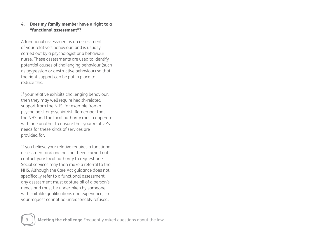#### **4. Does my family member have a right to a "functional assessment"?**

A functional assessment is an assessment of your relative's behaviour, and is usually carried out by a psychologist or a behaviour nurse. These assessments are used to identify potential causes of challenging behaviour (such as aggression or destructive behaviour) so that the right support can be put in place to reduce this.

If your relative exhibits challenging behaviour, then they may well require health-related support from the NHS, for example from a psychologist or psychiatrist. Remember that the NHS and the local authority must cooperate with one another to ensure that your relative's needs for these kinds of services are provided for.

If you believe your relative requires a functional assessment and one has not been carried out, contact your local authority to request one. Social services may then make a referral to the NHS. Although the Care Act guidance does not specifically refer to a functional assessment, any assessment must capture all of a person's needs and must be undertaken by someone with suitable qualifications and experience, so your request cannot be unreasonably refused.

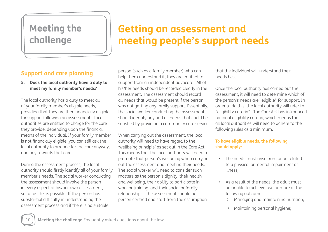# **Meeting the challenge**

# **Getting an assessment and meeting people's support needs**

## **Support and care planning**

**5. Does the local authority have a duty to meet my family member's needs?**

The local authority has a duty to meet all of your family member's eligible needs, providing that they are then financially eligible for support following an assessment. Local authorities are entitled to charge for the care they provide, depending upon the financial means of the individual. If your family member is not financially eligible, you can still ask the local authority to arrange for the care anyway, and pay towards that care.

During the assessment process, the local authority should firstly identify all of your family member's needs. The social worker conducting the assessment should involve the person in every aspect of his/her own assessment, so far as this is possible. If the person has substantial difficulty in understanding the assessment process and if there is no suitable

person (such as a family member) who can help them understand it, they are entitled to support from an independent advocate . All of his/her needs should be recorded clearly in the assessment. The assessment should record all needs that would be present if the person was not getting any family support. Essentially, the social worker conducting the assessment should identify any and all needs that could be satisfied by providing a community care service.

When carrying out the assessment, the local authority will need to have regard to the 'wellbeing principle' as set out in the Care Act. This means that the local authority will need to promote that person's wellbeing when carrying out the assessment and meeting their needs. The social worker will need to consider such matters as the person's dignity, their health and wellbeing, their ability to participate in work or training, and their social or family relationships. The assessment should be person centred and start from the assumption

that the individual will understand their needs best.

Once the local authority has carried out the assessment, it will need to determine which of the person's needs are "eligible" for support. In order to do this, the local authority will refer to "eligibility criteria". The Care Act has introduced national eligibility criteria, which means that all local authorities will need to adhere to the following rules as a minimum.

#### **To have eligible needs, the following should apply:**

- The needs must arise from or be related to a physical or mental impairment or illness;
- As a result of the needs, the adult must be unable to achieve two or more of the following outcomes:
	- > Managing and maintaining nutrition;
	- > Maintaining personal hygiene;

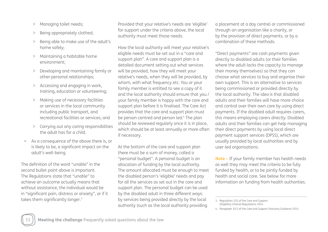- > Managing toilet needs;
- > Being appropriately clothed;
- > Being able to make use of the adult's home safely;
- > Maintaining a habitable home environment;
- > Developing and maintaining family or other personal relationships;
- > Accessing and engaging in work, training, education or volunteering;
- > Making use of necessary facilities or services in the local community including public transport, and recreational facilities or services; and
- > Carrying out any caring responsibilities the adult has for a child.
- As a consequence of the above there is, or is likely to be, a significant impact on the adult's well-being.

The definition of the word "unable" in the second bullet point above is important. The Regulations state that "unable" to achieve an outcome actually means that without assistance, the individual would be in "significant pain, distress or anxiety", or if it takes them significantly longer.<sup>3</sup>

Provided that your relative's needs are 'eligible' for support under the criteria above, the local authority must meet those needs.

How the local authority will meet your relative's eligible needs must be set out in a "care and support plan". A care and support plan is a detailed document setting out what services will be provided, how they will meet your relative's needs, when they will be provided, by whom, with what frequency etc. You or your family member is entitled to see a copy of it and the local authority should ensure that you / your family member is happy with the care and support plan before it is finalised. The Care Act provides that the care and support plan must be person centred and person led.4 The plan should be reviewed regularly once it is in place, which should be at least annually or more often if necessary.

At the bottom of the care and support plan there must be a sum of money, called a "personal budget". A personal budget is an allocation of funding by the local authority. The amount allocated must be enough to meet the disabled person's 'eligible' needs and pay for all the services as set out in the care and support plan. The personal budget can be used by the disabled adult in three different ways: by services being provided directly by the local authority (such as the local authority providing

a placement at a day centre) or commissioned through an organisation like a charity, or by the provision of direct payments, or by a combination of these methods.

"Direct payments" are cash payments given directly to disabled adults (or their families where the adult lacks the capacity to manage their money themselves) so that they can choose what services to buy and organise their own support. This is an alternative to services being commissioned or provided directly by the local authority. The idea is that disabled adults and their families will have more choice and control over their own care by using direct payments. If the disabled adult requires carers, this means employing carers directly. Disabled adults and their families can get help managing their direct payments by using local direct payment support services (DPSS), which are usually provided by local authorities and by user-led organisations.

**Note –** If your family member has health needs as well they may meet the criteria to be fully funded by health, or to be jointly funded by health and social care. See below for more information on funding from health authorities.



<sup>3.</sup> Regulation 2(3) of the Care and Support (Eligibility Criteria) Regulations 2014

<sup>4.</sup> Paragraph 10.5 of the Care and Support Statutory Guidance 2014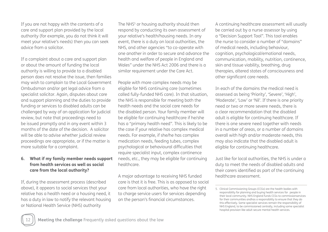If you are not happy with the contents of a care and support plan provided by the local authority (for example, you do not think it will meet your relative's needs) then you can seek advice from a solicitor.

If a complaint about a care and support plan or about the amount of funding the local authority is willing to provide to a disabled person does not resolve the issue, then families may wish to complain to the Local Government Ombudsman and/or get legal advice from a specialist solicitor. Again, disputes about care and support planning and the duties to provide funding or services to disabled adults can be challenged by way of an application for judicial review, but note that proceedings need to be issued promptly and in any event within 3 months of the date of the decision. A solicitor will be able to advise whether judicial review proceedings are appropriate, or if the matter is more suitable for a complaint.

#### **6. What if my family member needs support from health services as well as social care from the local authority?**

If, during the assessment process (described above), it appears to social services that your relative has a health need or a housing need, it has a duty in law to notify the relevant housing or National Health Service (NHS) authority

The NHS<sup>5</sup> or housing authority should then respond by conducting its own assessment of your relative's health/housing needs. In any event, there is a duty on local authorities, the NHS, and other agencies "to co-operate with one another in order to secure and advance the health and welfare of people in England and Wales" under the NHS Act 2006 and there is a similar requirement under the Care Act.

People with more complex needs may be eligible for NHS continuing care (sometimes called fully-funded NHS care). In that situation, the NHS is responsible for meeting both the health needs and the social care needs for the disabled person. Your family member will be eligible for continuing healthcare if he/she has a "primary health need". This is likely to be the case if your relative has complex medical needs. For example, if she/he has complex medication needs, feeding tubes, complex psychological or behavioural difficulties that require specialist input, complex continence needs, etc., they may be eligible for continuing healthcare.

A major advantage to receiving NHS funded care is that it is free. This is as opposed to social care from local authorities, who have the right to charge service users for services depending on the person's financial circumstances.

A continuing healthcare assessment will usually be carried out by a nurse assessor by using a "Decision Support Tool". This tool enables the nurse to consider a number of "domains" of medical needs, including behaviour, cognition, psychological/emotional needs, communication, mobility, nutrition, continence, skin and tissue viability, breathing, drug therapies, altered states of consciousness and other significant care needs.

In each of the domains the medical need is assessed as being 'Priority', 'Severe', 'High', 'Moderate', 'Low' or 'Nil'. If there is one priority need or two or more severe needs, there is a clear recommendation that the disabled adult is eligible for continuing healthcare. If there is one severe need together with needs in a number of areas, or a number of domains overall with high and/or moderate needs, this may also indicate that the disabled adult is eligible for continuing healthcare.

Just like for local authorities, the NHS is under a duty to meet the needs of disabled adults and their carers identified as part of the continuing healthcare assessment.



<sup>5.</sup> Clinical Commissioning Groups (CCGs) are the health bodies with responsibility for planning and buying health services for people in their local community. NHS England funds CCGs to commissionservices for their communities andhas a responsibility to ensure that they do this effectively. Some specialist services remain the responsibility of NHS England, to be commissioned centrally, including some specialist hospital provision like adult secure mental health services.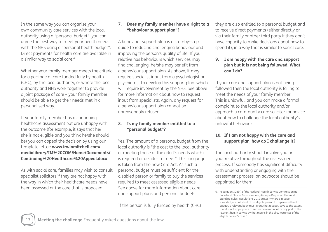In the same way you can organise your own community care services with the local authority using a "personal budget", you can agree the best way to meet your health needs with the NHS using a "personal health budget". Direct payments for health care are available in a similar way to social care.<sup>6</sup>

Whether your family member meets the criteria for a package of care funded fully by health (CHC), by the local authority, or where the local authority and NHS work together to provide a joint package of care – your family member should be able to get their needs met in a personalised way.

If your family member has a continuing healthcare assessment but are unhappy with the outcome (for example, it says that he/ she is not eligible and you think he/she should be) you can appeal the decision by using our template letter: **www.irwinmitchell.com/ medialibrary/IM%20COM/Home/Documents/ Continuing%20Healthcare%20Appeal.docx** 

As with social care, families may wish to consult specialist solicitors if they are not happy with the way in which their healthcare needs have been assessed or the care that is proposed.

#### **7. Does my family member have a right to a "behaviour support plan"?**

A behaviour support plan is a step-by-step guide to reducing challenging behaviour and improving the person's quality of life. If your relative has behaviours which services may find challenging, he/she may benefit from a behaviour support plan. As above, it may require specialist input from a psychologist or psychiatrist to develop this support plan, which will require involvement by the NHS. See above for more information about how to request input from specialists. Again, any request for a behaviour support plan cannot be unreasonably refused.

#### **8. Is my family member entitled to a "personal budget"?**

Yes. The amount of a personal budget from the local authority is "the cost to the local authority of meeting those of the adult's needs which it is required or decides to meet". This language is taken from the new Care Act. As such a personal budget must be sufficient for the disabled person or family to buy the services required to meet assessed eligible needs. See above for more information about care and support plans and personal budgets.

If the person is fully funded by health (CHC)

they are also entitled to a personal budget and to receive direct payments (either directly or via their family or other third party if they don't have capacity to make decisions about how to spend it), in a way that is similar to social care.

#### **9. I am happy with the care and support plan but it is not being followed. What can I do?**

If your care and support plan is not being followed then the local authority is failing to meet the needs of your family member. This is unlawful, and you can make a formal complaint to the local authority and/or approach a community care solicitor for advice about how to challenge the local authority's unlawful behaviour.

#### **10. If I am not happy with the care and support plan, how do I challenge it?**

The local authority should involve you or your relative throughout the assessment process. If somebody has significant difficulty with understanding or engaging with the assessment process, an advocate should be appointed for them.

<sup>6.</sup> Regulation 32B(4) of the National Health Service Commissioning Board and Clinical Commissioning Groups (Responsibilities and Standing Rules) Regulations 2012 states "Where a request is made by or on behalf of an eligible person for a personal health budget, a relevant body must grant that request, save to the extent that it is not appropriate to secure provision of all or any part of the relevant health service by that means in the circumstances of the eligible person's case."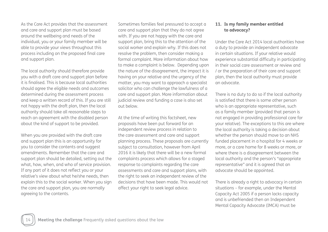As the Care Act provides that the assessment and care and support plan must be based around the wellbeing and needs of the individual, you or your family member will be able to provide your views throughout this process including on the proposed final care and support plan.

The local authority should therefore provide you with a draft care and support plan before it is finalised. This is because local authorities should agree the eligible needs and outcomes determined during the assessment process and keep a written record of this. If you are still not happy with the draft plan, then the local authority should take all reasonable steps to reach an agreement with the disabled person about the kind of support to be provided.

When you are provided with the draft care and support plan this is an opportunity for you to consider the contents and suggest amendments. Remember that the care and support plan should be detailed, setting out the what, how, when, and who of service provision. If any part of it does not reflect you or your relative's view about what he/she needs, then explain this to the social worker. When you sign the care and support plan, you are normally agreeing to the contents.

Sometimes families feel pressured to accept a care and support plan that they do not agree with. If you are not happy with the care and support plan, bring this to the attention of the social worker and explain why. If this does not resolve the problem, then consider making a formal complaint. More information about how to make a complaint is below. Depending upon the nature of the disagreement, the impact it is having on your relative and the urgency of the matter, you may want to approach a specialist solicitor who can challenge the lawfulness of a care and support plan. More information about judicial review and funding a case is also set out below.

At the time of writing this factsheet, new proposals have been put forward for an independent review process in relation to the care assessment and care and support planning process. These proposals are currently subject to consultation, however from April 2016 it is likely that there will be a new formal complaints process which allows for a staged response to complaints regarding the care assessments and care and support plans, with the right to seek an independent review of the decisions that have been made. This would not affect your right to seek legal advice.

#### **11. Is my family member entitled to advocacy?**

Under the Care Act 2014 local authorities have a duty to provide an independent advocate in certain situations. If your relative would experience substantial difficulty in participating in their social care assessment or review and / or the preparation of their care and support plan, then the local authority must provide an advocate.

There is no duty to do so if the local authority is satisfied that there is some other person who is an appropriate representative, such as a family member (provided that person is not engaged in providing professional care for your relative). The exceptions to this are where the local authority is taking a decision about whether the person should move to an NHS funded placement in a hospital for 4 weeks or more, or a care home for 8 weeks or more, or where there is a disagreement between the local authority and the person's "appropriate representative" and it is agreed that an advocate should be appointed.

There is already a right to advocacy in certain situations – for example, under the Mental Capacity Act 2005 if a person lacks capacity and is unbefriended then an Independent Mental Capacity Advocate (IMCA) must be

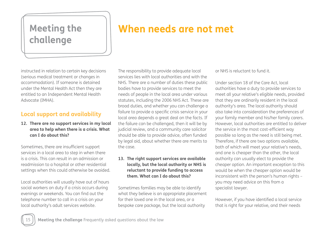# **challenge**

# **Meeting the When needs are not met**

instructed in relation to certain key decisions (serious medical treatment or changes in accommodation). If someone is detained under the Mental Health Act then they are entitled to an Independent Mental Health Advocate (IMHA).

## **Local support and availability**

**12. There are no support services in my local area to help when there is a crisis. What can I do about this?**

Sometimes, there are insufficient support services in a local area to step in when there is a crisis. This can result in an admission or readmission to a hospital or other residential settings when this could otherwise be avoided.

Local authorities will usually have out of hours social workers on duty if a crisis occurs during evenings or weekends. You can find out the telephone number to call in a crisis on your local authority's adult services website.

The responsibility to provide adequate local services lies with local authorities and with the NHS. There are a number of duties these public bodies have to provide services to meet the needs of people in the local area under various statutes, including the 2006 NHS Act. These are broad duties, and whether you can challenge a failure to provide a specific crisis service in your local area depends a great deal on the facts. If the failure can be challenged, then it will be by judicial review, and a community care solicitor should be able to provide advice, often funded by legal aid, about whether there are merits to the case.

#### **13. The right support services are available locally, but the local authority or NHS is reluctant to provide funding to access them. What can I do about this?**

Sometimes families may be able to identify what they believe is an appropriate placement for their loved one in the local area, or a bespoke care package, but the local authority

or NHS is reluctant to fund it.

Under section 18 of the Care Act, local authorities have a duty to provide services to meet all your relative's eligible needs, provided that they are ordinarily resident in the local authority's area. The local authority should also take into consideration the preferences of your family member and his/her family carers. However, local authorities are entitled to deliver the service in the most cost-efficient way possible so long as the need is still being met. Therefore, if there are two options available, both of which will meet your relative's needs, and one is cheaper than the other, the local authority can usually elect to provide the cheaper option. An important exception to this would be when the cheaper option would be inconsistent with the person's human rights – you may need advice on this from a specialist lawyer.

However, if you have identified a local service that is right for your relative, and their needs

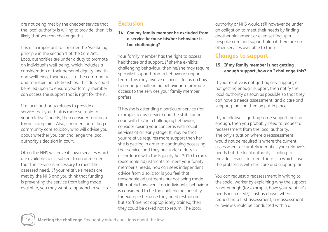are not being met by the cheaper service that the local authority is willing to provide, then it is likely that you can challenge this.

It is also important to consider the 'wellbeing' principle in the section 1 of the Care Act. Local authorities are under a duty to promote an individual's well-being, which includes a consideration of their personal dignity, health and wellbeing, their access to the community and maintaining relationships. This duty could be relied upon to ensure your family member can access the support that is right for them.

If a local authority refuses to provide a service that you think is more suitable to your relative's needs, then consider making a formal complaint. Also, consider contacting a community care solicitor, who will advise you about whether you can challenge the local authority's decision in court.

Often the NHS will have its own services which are available to all, subject to an agreement that the service is necessary to meet the assessed need. If your relative's needs are met by the NHS and you think that funding is preventing the service from being made available, you may want to approach a solicitor.

# **Exclusion**

#### **14. Can my family member be excluded from a service because his/her behaviour is too challenging?**

Your family member has the right to access healthcare and support. If she/he exhibits challenging behaviour, then he/she may require specialist support from a behaviour support team. This may involve a specific focus on how to manage challenging behaviour to promote access to the services your family member prefers.

If he/she is attending a particular service (for example, a day service) and the staff cannot cope with his/her challenging behaviour, consider raising your concerns with social services at an early stage. It may be that your relative requires more support then he/ she is getting in order to continuing accessing that service, and they are under a duty in accordance with the Equality Act 2010 to make reasonable adjustments to meet your family member's needs. You can seek independent advice from a solicitor is you feel that reasonable adjustments are not being made. Ultimately however, if an individual's behaviour is considered to be too challenging, possibly for example because they need restraining but staff are not appropriately trained, then they could be asked not to return. The local

authority or NHS would still however be under an obligation to meet their needs by finding another placement or even setting up a bespoke care and support plan if there are no other services available to them.

## **Changes to support**

#### **15. If my family member is not getting enough support, how do I challenge this?**

If your relative is not getting any support, or not getting enough support, then notify the local authority as soon as possible so that they can have a needs assessment, and a care and support plan can then be put in place.

If you relative is getting some support, but not enough, then you probably need to request a reassessment from the local authority. The only situation where a reassessment would not be required is where the current assessment accurately identifies your relative's needs but the local authority is failing to provide services to meet them – in which case the problem is with the care and support plan.

You can request a reassessment in writing to the social worker by explaining why the support is not enough (for example, have your relative's needs increased?). Just as above, when requesting a first assessment, a reassessment or review should be conducted within a

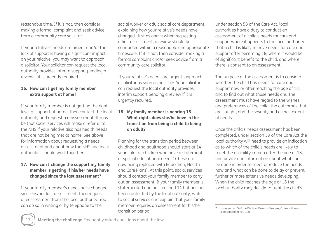reasonable time. If it is not, then consider making a formal complaint and seek advice from a community care solicitor.

If your relative's needs are urgent and/or the lack of support is having a significant impact on your relative, you may want to approach a solicitor. Your solicitor can request the local authority provides interim support pending a review if it is urgently required.

#### **16. How can I get my family member extra support at home?**

If your family member is not getting the right level of support at home, then contact the local authority and request a reassessment. It may be that social services will make a referral to the NHS if your relative also has health needs that are not being met at home. See above for information about requesting a needs assessment and about how the NHS and local authorities should work together.

#### **17. How can I change the support my family member is getting if his/her needs have changed since the last assessment?**

If your family member's needs have changed since his/her last assessment, then request a reassessment from the local authority. You can do so in writing or by telephone to the

social worker or adult social care department, explaining how your relative's needs have changed. Just as above when requesting a first assessment, a review should be conducted within a reasonable and appropriate timescale. If it is not, then consider making a formal complaint and/or seek advice from a community care solicitor.

If your relative's needs are urgent, approach a solicitor as soon as possible. Your solicitor can request the local authority provides interim support pending a review if it is urgently required.

#### **18. My family member is nearing 18. What rights does she/he have in the transition from being a child to being an adult?**

Planning for the transition period between childhood and adulthood should start at 14 years old for children who have a statement of special educational needs<sup>7</sup> (these are now being replaced with Education, Health and Care Plans). At this point, social services should contact your family member to carry out an assessment. If your family member is statemented and has reached 14 but has not been contacted by the local authority, write to social services and explain that your family member requires an assessment for his/her transition period.

Under section 58 of the Care Act, local authorities have a duty to conduct an assessment of a child's needs for care and support where it appears to the local authority that a child is likely to have needs for care and support after becoming 18, where it would be of significant benefit to the child, and where there is consent to an assessment.

The purpose of the assessment is to consider whether the child has needs for care and support now or after reaching the age of 18, and to find out what those needs are. The assessment must have regard to the wishes and preferences of the child, the outcomes that are sought, and the severity and overall extent of needs.

Once the child's needs assessment has been completed, under section 59 of the Care Act the local authority will need to provide an indication as to which of the child's needs are likely to meet the eligibility criteria after the age of 18, and advice and information about what can be done in order to meet or reduce the needs now and what can be done to delay or prevent further or more extensive needs developing. When the child reaches the age of 18 the local authority may decide to treat the child's



<sup>7.</sup> Under section 5 of the Disabled Persons (Services, Consultation and Representation) Act 1986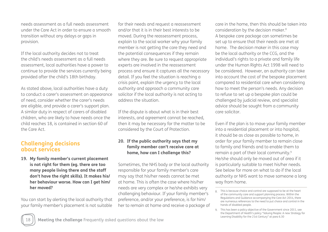needs assessment as a full needs assessment under the Care Act in order to ensure a smooth transition without any delays or gaps in provision.

If the local authority decides not to treat the child's needs assessment as a full needs assessment, local authorities have a power to continue to provide the services currently being provided after the child's 18th birthday.

As stated above, local authorities have a duty to conduct a carer's assessment on appearance of need, consider whether the carer's needs are eligible, and provide a carer's support plan. A similar duty in respect of carers of disabled children, who are likely to have needs once the child reaches 18, is contained in section 60 of the Care Act.

### **Challenging decisions about services**

**19. My family member's current placement is not right for them (eg. there are too many people living there and the staff don't have the right skills). It makes his/ her behaviour worse. How can I get him/ her moved?**

You can start by alerting the local authority that your family member's placement is not suitable

for their needs and request a reassessment and/or that it is in their best interests to be moved. During the reassessment process, explain to the social worker why your family member is not getting the care they need and the potential consequences if they remain where they are. Be sure to request appropriate experts are involved in the reassessment process and ensure it captures all the necessary detail. If you feel the situation is reaching a crisis point, explain the urgency to the local authority and approach a community care solicitor if the local authority is not acting to address the situation.

If the dispute is about what is in their best interests, and agreement cannot be reached, then it may be necessary for the matter to be considered by the Court of Protection.

#### **20. If the public authority says that my family member can't receive care at home, how can I challenge this?**

Sometimes, the NHS body or the local authority responsible for your family member's care may say that his/her needs cannot be met at home. This is often the case where his/her needs are very complex or he/she exhibits very challenging behaviour. If your family member's preference, and/or your preference, is for him/ her to remain at home and receive a package of

care in the home, then this should be taken into consideration by the decision maker.8 A bespoke care package can sometimes be set up to ensure that their needs are met at home. The decision maker in this case may be the local authority or the CCG, and the individual's rights to a private and family life under the Human Rights Act 1998 will need to be considered. However, an authority can take into account the cost of the bespoke placement compared to residential care when considering how to meet the person's needs. Any decision to refuse to set up a bespoke plan could be challenged by judicial review, and specialist advice should be sought from a community care solicitor.

Even if the plan is to move your family member into a residential placement or into hospital, it should be as close as possible to home, in order for your family member to remain close to family and friends and to enable them to remain a part of their local community.9 He/she should only be moved out of area if it is particularly suitable to meet his/her needs. See below for more on what to do if the local authority or NHS want to move someone a long way from home.



This is because choice and control are supposed to be at the heart 8. of the community care and support planning process. Within the Regulations and Guidance accompanying the Care Act 2014, there are numerous references to the need to put choice and control in the hands of disabled people.

This has been a policy objective of the Government since 2011, see 9.the Department of Health's policy "Valuing People: A new Strategy for Learning Disability for the 21st Century" at para 6.30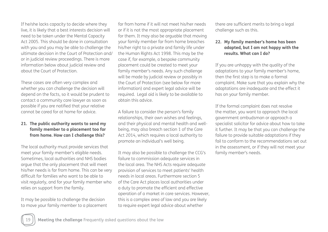If he/she lacks capacity to decide where they live, it is likely that a best interests decision will need to be taken under the Mental Capacity Act 2005. This should be done in consultation with you and you may be able to challenge the ultimate decision in the Court of Protection and/ or in judicial review proceedings. There is more information below about judicial review and about the Court of Protection.

These cases are often very complex and whether you can challenge the decision will depend on the facts, so it would be prudent to contact a community care lawyer as soon as possible if you are notified that your relative cannot be cared for at home for advice.

#### **21. The public authority wants to send my family member to a placement too far from home. How can I challenge this?**

The local authority must provide services that meet your family member's eligible needs. Sometimes, local authorities and NHS bodies argue that the only placement that will meet his/her needs is far from home. This can be very difficult for families who want to be able to visit regularly, and for your family member who relies on support from the family.

It may be possible to challenge the decision to move your family member to a placement far from home if it will not meet his/her needs or if it is not the most appropriate placement for them. It may also be arguable that moving your family member far from home breaches his/her right to a private and family life under the Human Rights Act 1998. This may be the case if, for example, a bespoke community placement could be created to meet your family member's needs. Any such challenge will be made by judicial review or possibly in the Court of Protection (see below for more information) and expert legal advice will be required. Legal aid is likely to be available to obtain this advice.

A failure to consider the person's family relationships, their own wishes and feelings, and their physical and mental health and wellbeing, may also breach section 1 of the Care Act 2014, which requires a local authority to promote an individual's well being.

It may also be possible to challenge the CCG's failure to commission adequate services in the local area. The NHS Acts require adequate provision of services to meet patients' health needs in local areas. Furthermore section 5 of the Care Act places local authorities under a duty to promote the efficient and effective operation of a market in care services. However, this is a complex area of law and you are likely to require expert legal advice about whether

there are sufficient merits to bring a legal challenge such as this.

#### **22. My family member's home has been adapted, but I am not happy with the results. What can I do?**

If you are unhappy with the quality of the adaptations to your family member's home, then the first step is to make a formal complaint. Make sure that you explain why the adaptations are inadequate and the effect it has on your family member.

If the formal complaint does not resolve the matter, you want to approach the local government ombudsman or approach a specialist solicitor for advice about how to take it further. It may be that you can challenge the failure to provide suitable adaptations if they fail to conform to the recommendations set out in the assessment, or if they will not meet your family member's needs.

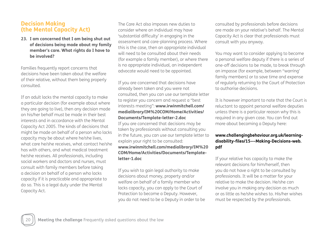### **Decision Making (the Mental Capacity Act)**

**23. I am concerned that I am being shut out of decisions being made about my family member's care. What rights do I have to be involved?**

Families frequently report concerns that decisions have been taken about the welfare of their relative, without them being properly consulted.

If an adult lacks the mental capacity to make a particular decision (for example about where they are going to live), then any decision made on his/her behalf must be made in their best interests and in accordance with the Mental Capacity Act 2005. The kinds of decisions that might be made on behalf of a person who lacks capacity may be about where he/she lives, what care he/she receives, what contact he/she has with others, and what medical treatment he/she receives. All professionals, including social workers and doctors and nurses, must consult with family members before taking a decision on behalf of a person who lacks capacity if it is practicable and appropriate to do so. This is a legal duty under the Mental Capacity Act.

The Care Act also imposes new duties to consider where an individual may have 'substantial difficulty' in engaging in the assessment and care-planning process. Where this is the case, then an appropriate individual will need to be consulted about their needs (for example a family member), or where there is no appropriate individual, an independent advocate would need to be appointed.

If you are concerned that decisions have already been taken and you were not consulted, then you can use our template letter to register you concern and request a "best interests meeting": **www.irwinmitchell.com/ medialibrary/IM%20COM/Home/Activities/ Documents/Template-letter-2.doc**  If you are concerned that decisions may be taken by professionals without consulting you in the future, you can use our template letter to explain your right to be consulted: **www.irwinmitchell.com/medialibrary/IM%20 COM/Home/Activities/Documents/Templateletter-1.doc**

If you wish to gain legal authority to make decisions about money, property and/or welfare on behalf of a family member who lacks capacity, you can apply to the Court of Protection to become a Deputy. However, you do not need to be a Deputy in order to be consulted by professionals before decisions are made on your relative's behalf. The Mental Capacity Act is clear that professionals must consult with you anyway.

You may want to consider applying to become a personal welfare deputy if there is a series of one-off decisions to be made, to break through an impasse (for example, between "warring' family members) or to save time and expense of regularly returning to the Court of Protection to authorise decisions.

It is however important to note that the Court is reluctant to appoint personal welfare deputies unless there is a particular reason why this is required in any given case. You can find out more about becoming a Deputy here:

#### **www.challengingbehaviour.org.uk/learningdisability-files/15---Making-Decisions-web. pdf**

If your relative has capacity to make the relevant decisions for him/herself, then you do not have a right to be consulted by professionals. It will be a matter for your relative to make the decision. He/she can involve you in making any decision as much or as little as he/she wishes to. His/her wishes must be respected by the professionals.

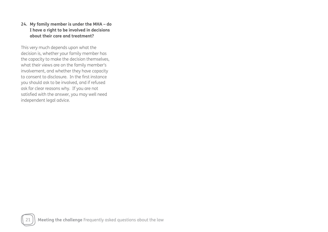#### **24. My family member is under the MHA – do I have a right to be involved in decisions about their care and treatment?**

This very much depends upon what the decision is, whether your family member has the capacity to make the decision themselves, what their views are on the family member's involvement, and whether they have capacity to consent to disclosure. In the first instance you should ask to be involved, and if refused ask for clear reasons why. If you are not satisfied with the answer, you may well need independent legal advice.

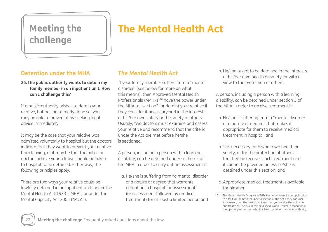# **challenge**

# **Meeting the The Mental Health Act**

## **Detention under the MHA**

**25.The public authority wants to detain my family member in an inpatient unit. How can I challenge this?**

If a public authority wishes to detain your relative, but has not already done so, you may be able to prevent it by seeking legal advice immediately.

It may be the case that your relative was admitted voluntarily to hospital but the doctors indicate that they want to prevent your relative from leaving, or it may be that the police or doctors believe your relative should be taken to hospital to be detained. Either way, the following principles apply.

There are two ways your relative could be lawfully detained in an inpatient unit: under the Mental Health Act 1983 ("MHA") or under the Mental Capacity Act 2005 ("MCA").

## *The Mental Health Act*

If your family member suffers from a "mental disorder" (see below for more on what this means), then Approved Mental Health Professionals (AMHPs)<sup>10</sup> have the power under the MHA to "section" (or detain) your relative if they consider it necessary and in the interests of his/her own safety or the safety of others. Usually, two doctors must examine and assess your relative and recommend that the criteria under the Act are met before he/she is sectioned.

A person, including a person with a learning disability, can be detained under section 2 of the MHA in order to carry out an assessment if:

a. He/she is suffering from "a mental disorder of a nature or degree that warrants detention in hospital for assessment" (or assessment followed by medical treatment) for at least a limited period;and b. He/she ought to be detained in the interests of his/her own health or safety, or with a view to the protection of others.

A person, including a person with a learning disability, can be detained under section 3 of the MHA in order to receive treatment if:

- a. He/she is suffering from a "mental disorder of a nature or degree" that makes it appropriate for them to receive medical treatment in hospital; and
- b. It is necessary for his/her own health or safety, or for the protection of others, that he/she receives such treatment and it cannot be provided unless he/she is detained under this section; and
- c. Appropriate medical treatment is available for him/her.



<sup>10.</sup> The Mental Health Act gives AMHPs the power to make an application to admit you to hospital under a section of the Act if they consider it necessary and the best way of ensuring you receive the right care and treatment. An AMPH can be a social worker, nurse, occupational therapist or psychologist who has been approved by a local authority.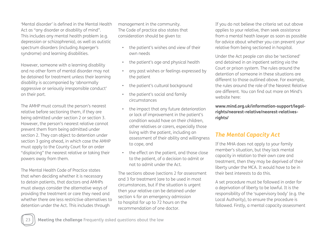'Mental disorder' is defined in the Mental Health Act as "any disorder or disability of mind". This includes any mental health problem (e.g. depression or schizophrenia), as well as autistic spectrum disorders (including Asperger's syndrome) and learning disabilities.

However, someone with a learning disability and no other form of mental disorder may not be detained for treatment unless their learning disability is accompanied by 'abnormally aggressive or seriously irresponsible conduct' on their part.

The AMHP must consult the person's nearest relative before sectioning them, if they are being admitted under section 2 or section 3. However, the person's nearest relative cannot prevent them from being admitted under section 2. They can object to detention under section 3 going ahead, in which case the AMHP must apply to the County Court for an order "displacing" the nearest relative or taking their powers away from them.

The Mental Health Code of Practice states that when deciding whether it is necessary to detain patients, that doctors and AMHPs must always consider the alternative ways of providing the treatment or care they need and whether there are less restrictive alternatives to detention under the Act. This includes through

management in the community. The Code of practice also states that consideration should be given to:

- the patient's wishes and view of their own needs
- the patient's age and physical health
- any past wishes or feelings expressed by the patient
- the patient's cultural background
- the patient's social and family circumstances
- the impact that any future deterioration or lack of improvement in the patient's condition would have on their children, other relatives or carers, especially those living with the patient, including an assessment of their ability and willingness to cope, and
- the effect on the patient, and those close to the patient, of a decision to admit or not to admit under the Act.

The sections above (sections 2 for assessment and 3 for treatment )are to be used in most circumstances, but if the situation is urgent then your relative can be detained under section 4 for an emergency admission to hospital for up to 72 hours on the recommendation of one doctor.

If you do not believe the criteria set out above applies to your relative, then seek assistance from a mental heath lawyer as soon as possible for advice about whether you can prevent your relative from being sectioned in hospital.

Under the Act people can also be 'sectioned' and detained in an inpatient setting via the Court or prison system. The rules around the detention of someone in these situations are different to those outlined above. For example, the rules around the role of the Nearest Relative are different. You can find out more on Mind's website here:

#### **www.mind.org.uk/information-support/legalrights/nearest-relative/nearest-relativesrights/**

# *The Mental Capacity Act*

If the MHA does not apply to your family member's situation, but they lack mental capacity in relation to their own care and treatment, then they may be deprived of their liberty under the MCA. It would have to be in their best interests to do this.

A set procedure must be followed in order for a deprivation of liberty to be lawful. It is the responsibility of the 'supervisory body' (e.g. the Local Authority), to ensure the procedure is followed. Firstly, a mental capacity assessment

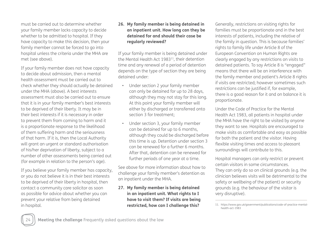must be carried out to determine whether your family member lacks capacity to decide whether to be admitted to hospital. If they have capacity to make this decision, then your family member cannot be forced to go into hospital unless the criteria under the MHA are met (see above).

If your family member does not have capacity to decide about admission, then a mental health assessment must be carried out to check whether they should actually be detained under the MHA (above). A best interests assessment must also be carried out to ensure that it is in your family member's best interests to be deprived of their liberty. It may be in their best interests if it is necessary in order to prevent them from coming to harm and it is a proportionate response to the likelihood of them suffering harm and the seriousness of that harm. If it is, then the Local Authority will grant an urgent or standard authorisation of his/her deprivation of liberty, subject to a number of other assessments being carried out (for example in relation to the person's age).

If you believe your family member has capacity, or you do not believe it is in their best interests to be deprived of their liberty in hospital, then contact a community care solicitor as soon as possible for advice about whether you can prevent your relative from being detained in hospital.

#### **26. My family member is being detained in an inpatient unit. How long can they be detained for and should their case be regularly reviewed?**

If your family member is being detained under the Mental Health Act 1983<sup>11</sup>, their detention time and any renewal of a period of detention depends on the type of section they are being detained under:

- Under section 2 your family member can only be detained for up to 28 days, although they may not stay for this long. At this point your family member will either by discharged or transferred onto section 3 for treatment;
- Under section 3, your family member can be detained for up to 6 months, although they could be discharged before this time is up. Detention under section 3 can be renewed for a further 6 months. After that, detention can be renewed for further periods of one year at a time.

See above for more information about how to challenge your family member's detention as an inpatient under the MHA.

#### **27. My family member is being detained in an inpatient unit. What rights to I have to visit them? If visits are being restricted, how can I challenge this?**

Generally, restrictions on visiting rights for families must be proportionate and in the best interests of patients, including the relative of the family in question. This is because families' rights to family life under Article 8 of the European Convention on Human Rights are clearly engaged by any restrictions on visits to detained patients. To say Article 8 is "engaged" means that there will be an interference with the family member and patient's Article 8 rights if visits are restricted; however sometimes such restrictions can be justified if, for example, there is a good reason for it and on balance it is proportionate.

Under the Code of Practice for the Mental Health Act 1983, all patients in hospital under the MHA have the right to be visited by anyone they want to see. Hospitals are encouraged to make visits as comfortable and easy as possible for both the patient and the visitor. Having flexible visiting times and access to pleasant surroundings will contribute to this.

Hospital managers can only restrict or prevent certain visitors in some circumstances. They can only do so on clinical grounds (e.g. the clinician believes visits will be detrimental to the safety or wellbeing of the patient) or security grounds (e.g. the behaviour of the visitor is very disruptive).

11. https://www.gov.uk/government/publications/code-of-practice-mentalhealth-act-1983

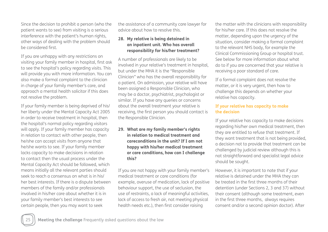Since the decision to prohibit a person (who the patient wants to see) from visiting is a serious interference with the patient's human rights, other ways of dealing with the problem should be considered first.

If you are unhappy with any restrictions on visiting your family member in hospital, first ask to see the hospital's policy regarding visits. This will provide you with more information. You can also make a formal complaint to the clinician in charge of your family member's care, and approach a mental health solicitor if this does not resolve the problem.

If your family member is being deprived of his/ her liberty under the Mental Capacity Act 2005 in order to receive treatment in hospital, then the hospital's normal policy regarding visitors will apply. If your family member has capacity in relation to contact with other people, then he/she can accept visits from anyone that he/she wants to see. If your family member lacks capacity to make decisions in relation to contact then the usual process under the Mental Capacity Act should be followed, which means initially all the relevant parties should seek to reach a consensus on what is in his/ her best interests. If there is a dispute between members of the family and/or professionals involved in his/her care about whether it is in your family member's best interests to see certain people, then you may want to seek

the assistance of a community care lawyer for advice about how to resolve this.

#### **28. My relative is being detained in an inpatient unit. Who has overall responsibility for his/her treatment?**

A number of professionals are likely to be involved in your relative's treatment in hospital, but under the MHA it is the "Responsible Clinician" who has the overall responsibility for a patient. On admission, your relative will have been assigned a Responsible Clinician, who may be a doctor, psychiatrist, psychologist or similar. If you have any queries or concerns about the overall treatment your relative is receiving, the first person you should contact is the Responsible Clinician.

#### **29. What are my family member's rights in relation to medical treatment and careconditions in the unit? If I am not happy with his/her medical treatment or care conditions, how can I challenge this?**

If you are not happy with your family member's medical treatment or care conditions (for example, overuse of medication, lack of positive behaviour support, the use of seclusion, the use of restraints, a lack of meaningful activities, lack of access to fresh air, not meeting physical health needs etc.), then first consider raising

the matter with the clinicians with responsibility for his/her care. If this does not resolve the matter, depending upon the urgency of the situation, consider making a formal complaint to the relevant NHS body, for example the Clinical Commissioning Group or hospital trust. See below for more information about what do to if you are concerned that your relative is receiving a poor standard of care.

If a formal complaint does not resolve the matter, or it is very urgent, then how to challenge this depends on whether your relative has capacity.

#### **If your relative has capacity to make the decision**

If your relative has capacity to make decisions regarding his/her own medical treatment, then they are entitled to refuse that treatment. If they want treatment that is not being provided, a decision not to provide that treatment can be challenged by judicial review although this is not straightforward and specialist legal advice should be sought.

However, it is important to note that if your relative is detained under the MHA they can be treated in the first three months of their detention (under Sections 2, 3 and 37) without their consent (although some treatment, even in the first three months, always requires consent and/or a second opinion doctor). After

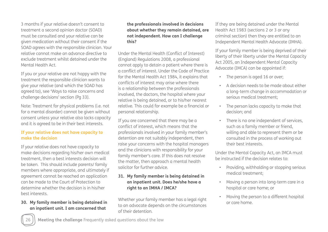3 months if your relative doesn't consent to treatment a second opinion doctor (SOAD) must be consulted and your relative can be given medication without their consent if the SOAD agrees with the responsible clinician. Your relative cannot make an advance directive to exclude treatment whilst detained under the Mental Health Act.

If you or your relative are not happy with the treatment the responsible clinician wants to give your relative (and which the SOAD has agreed to), see 'Ways to raise concerns and challenge decisions' section (Pg 33).

Note: Treatment for physical problems (i.e. not for a mental disorder) cannot be given without consent unless your relative also lacks capacity and it is agreed to be in their best interests.

#### **If your relative does not have capacity to make the decision**

If your relative does not have capacity to make decisions regarding his/her own medical treatment, then a best interests decision will be taken. This should include parents/ family members where appropriate, and ultimately if agreement cannot be reached an application can be made to the Court of Protection to determine whether the decision is in his/her best interests.

**30. My family member is being detained in an inpatient unit. I am concerned that** 

#### **the professionals involved in decisions about whether they remain detained, are not independent. How can I challenge this?**

Under the Mental Health (Conflict of Interest) (England) Regulations 2008, a professional cannot apply to detain a patient where there is a conflict of interest. Under the Code of Practice for the Mental Health Act 1984, it explains that conflicts of interest may arise where there is a relationship between the professionals involved, the doctors, the hospital where your relative is being detained, or to his/her nearest relative. This could for example be a financial or personal relationship.

If you are concerned that there may be a conflict of interest, which means that the professionals involved in your family member's detention are not suitably independent, then raise your concerns with the hospital managers and the clinicians with responsibility for your family member's care. If this does not resolve the matter, then approach a mental health solicitor for further advice.

#### **31. My family member is being detained in an inpatient unit. Does he/she have a right to an IMHA / IMCA?**

Whether your family member has a legal right to an advocate depends on the circumstances of their detention.

If they are being detained under the Mental Health Act 1983 (sections 2 or 3 or any criminal section) then they are entitled to an Independent Mental Health Advocate (IMHA).

If your family member is being deprived of their liberty of their liberty under the Mental Capacity Act 2005, an Independent Mental Capacity Advocate (IMCA) can be appointed if:

- The person is aged 16 or over;
- A decision needs to be made about either a long-term change in accommodation or serious medical treatment;
- The person lacks capacity to make that decision; and
- There is no one independent of services, such as a family member or friend, willing and able to represent them or be consulted in the process of working out their best interests.

Under the Mental Capacity Act, an IMCA must be instructed if the decision relates to:

- Providing, withholding or stopping serious medical treatment;
- Moving a person into long-term care in a hospital or care home; or
- Moving the person to a different hospital or care home.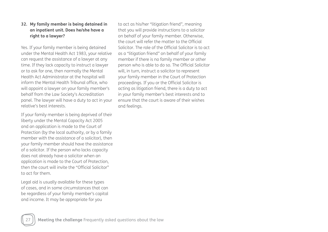#### **32. My family member is being detained in an inpatient unit. Does he/she have a right to a lawyer?**

Yes. If your family member is being detained under the Mental Health Act 1983, your relative can request the assistance of a lawyer at any time. If they lack capacity to instruct a lawyer or to ask for one, then normally the Mental Health Act Administrator at the hospital will inform the Mental Health Tribunal office, who will appoint a lawyer on your family member's behalf from the Law Society's Accreditation panel. The lawyer will have a duty to act in your relative's best interests.

If your family member is being deprived of their liberty under the Mental Capacity Act 2005 and an application is made to the Court of Protection (by the local authority, or by a family member with the assistance of a solicitor), then your family member should have the assistance of a solicitor. If the person who lacks capacity does not already have a solicitor when an application is made to the Court of Protection, then the court will invite the "Official Solicitor" to act for them.

Legal aid is usually available for these types of cases, and in some circumstances that can be regardless of your family member's capital and income. It may be appropriate for you

to act as his/her "litigation friend", meaning that you will provide instructions to a solicitor on behalf of your family member. Otherwise, the court will refer the matter to the Official Solicitor. The role of the Official Solicitor is to act as a "litigation friend" on behalf of your family member if there is no family member or other person who is able to do so. The Official Solicitor will, in turn, instruct a solicitor to represent your family member in the Court of Protection proceedings. If you or the Official Solicitor is acting as litigation friend, there is a duty to act in your family member's best interests and to ensure that the court is aware of their wishes and feelings.

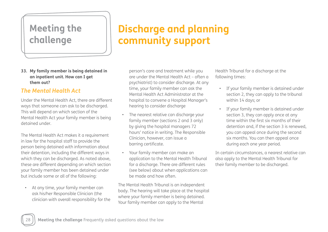# **Meeting the challenge**

# **Discharge and planning community support**

#### **33. My family member is being detained in an inpatient unit. How can I get them out?**

## *The Mental Health Act*

Under the Mental Health Act, there are different ways that someone can ask to be discharged. This will depend on which section of the Mental Health Act your family member is being detained under.

The Mental Health Act makes it a requirement in law for the hospital staff to provide the person being detained with information about their detention, including the different ways in which they can be discharged. As noted above, these are different depending on which section your family member has been detained under but include some or all of the following:

• At any time, your family member can ask his/her Responsible Clinician (the clinician with overall responsibility for the person's care and treatment while you are under the Mental Health Act – often a psychiatrist) to consider discharge. At any time, your family member can ask the Mental Health Act Administrator at the hospital to convene a Hospital Manager's hearing to consider discharge

- The nearest relative can discharge your family member (sections 2 and 3 only) by giving the hospital managers 72 hours' notice in writing. The Responsible Clinician, however, can issue a barring certificate.
- Your family member can make an application to the Mental Health Tribunal for a discharge. There are different rules (see below) about when applications can be made and how often.

The Mental Health Tribunal is an independent body. The hearing will take place at the hospital where your family member is being detained. Your family member can apply to the Mental

Health Tribunal for a discharge at the following times:

- If your family member is detained under section 2, they can apply to the tribunal within 14 days; or
- If your family member is detained under section 3, they can apply once at any time within the first six months of their detention and, if the section 3 is renewed, you can appeal once during the second six months. You can then appeal once during each one year period.

In certain circumstances, a nearest relative can also apply to the Mental Health Tribunal for their family member to be discharged.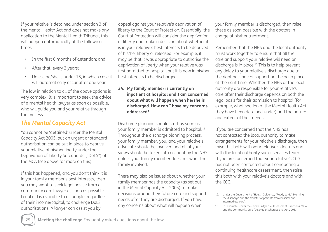If your relative is detained under section 3 of the Mental Health Act and does not make any application to the Mental Health Tribunal, this will happen automatically at the following times:

- In the first 6 months of detention; and
- After that, every 3 years;
- Unless he/she is under 18, in which case it will automatically occur after one year.

The law in relation to all of the above options is very complex. It is important to seek the advice of a mental health lawyer as soon as possible, who will guide you and your relative through the process.

## *The Mental Capacity Act*

You cannot be 'detained' under the Mental Capacity Act 2005, but an urgent or standard authorisation can be put in place to deprive your relative of his/her liberty under the Deprivation of Liberty Safeguards ("DoLS") of the MCA (see above for more on this).

If this has happened, and you don't think it is in your family member's best interests, then you may want to seek legal advice from a community care lawyer as soon as possible. Legal aid is available to all people, regardless of their income/capital, to challenge DoLS authorisations. A lawyer can assist you by

appeal against your relative's deprivation of liberty to the Court of Protection. Essentially, the Court of Protection will consider the deprivation of liberty and make a decision about whether it is in your relative's best interests to be deprived of his/her liberty or released. For example, it may be that it was appropriate to authorise the deprivation of liberty when your relative was first admitted to hospital, but it is now in his/her best interests to be discharged.

#### **34. My family member is currently an inpatient at hospital and I am concerned about what will happen when he/she is discharged. How can I have my concerns addressed?**

Discharge planning should start as soon as your family member is admitted to hospital.12 Throughout the discharge planning process, your family member, you, and your relative's advocate should be involved and all of your views should be taken into account by the NHS, unless your family member does not want their family involved.

There may also be issues about whether your family member has the capacity (as set out in the Mental Capacity Act 2005) to make decisions around their future care and support needs after they are discharged. If you have any concerns about what will happen when

your family member is discharged, then raise these as soon possible with the doctors in charge of his/her treatment.

Remember that the NHS and the local authority must work together to ensure that all the care and support your relative will need on discharge is in place.<sup>13</sup> This is to help prevent any delay to your relative's discharge due to the right package of support not being in place at the right time. Whether the NHS or the local authority are responsible for your relative's care after their discharge depends on both the legal basis for their admission to hospital (for example, what section of the Mental Health Act they have been detained under) and the nature and extent of their needs.

If you are concerned that the NHS has not contacted the local authority to make arrangements for your relative's discharge, then raise this both with your relative's doctors and with the local authority social services team. If you are concerned that your relative's CCG has not been contacted about conducting a continuing healthcare assessment, then raise this both with your relative's doctors and with the CCG.



<sup>12.</sup> Under the Department of Health Guidance, "Ready to Go? Planning the discharge and the transfer of patients from hospital and intermediate care".

<sup>13.</sup> For example, under the Community Care Assessment Directions 2004 and the Community Care (Delayed Discharges etc) Act 2003.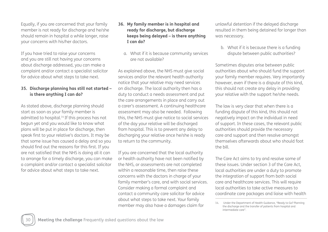Equally, if you are concerned that your family member is not ready for discharge and he/she should remain in hospital a while longer, raise your concerns with his/her doctors.

If you have tried to raise your concerns and you are still not having your concerns about discharge addressed, you can make a complaint and/or contact a specialist solicitor for advice about what steps to take next.

#### **35. Discharge planning has still not started – is there anything I can do?**

As stated above, discharge planning should start as soon as your family member is admitted to hospital.14 If this process has not begun yet and you would like to know what plans will be put in place for discharge, then speak first to your relative's doctors. It may be that some issue has caused a delay and so you should find out the reasons for this first. If you are not satisfied that the NHS is doing all it can to arrange for a timely discharge, you can make a complaint and/or contact a specialist solicitor for advice about what steps to take next.

#### **36. My family member is in hospital and ready for discharge, but discharge keeps being delayed – is there anything I can do?**

a. What if it is because community services are not available?

As explained above, the NHS must give social services and/or the relevant health authority notice that your relative may need services on discharge. The local authority then has a duty to conduct a needs assessment and put the care arrangements in place and carry out a carer's assessment. A continuing healthcare assessment may also be needed. Following this, the NHS must give notice to social services of the day your relative will be discharged from hospital. This is to prevent any delay to discharging your relative once he/she is ready to return to the community.

If you are concerned that the local authority or health authority have not been notified by the NHS, or assessments are not completed within a reasonable time, then raise these concerns with the doctors in charge of your family member's care, and with social services. Consider making a formal complaint and contact a community care solicitor for advice about what steps to take next. Your family member may also have a damages claim for

unlawful detention if the delayed discharge resulted in them being detained for longer than was necessary.

b. What if it is because there is a funding dispute between public authorities?

Sometimes disputes arise between public authorities about who should fund the support your family member requires. Very importantly however, even if there is a dispute of this kind, this should not create any delay in providing your relative with the support he/she needs.

The law is very clear that when there is a funding dispute of this kind, this should not negatively impact on the individual in need of support. In these cases, the relevant public authorities should provide the necessary care and support and then resolve amongst themselves afterwards about who should foot the bill.

The Care Act aims to try and resolve some of these issues. Under section 3 of the Care Act, local authorities are under a duty to promote the integration of support from both social care and healthcare services. This will require local authorities to take active measures to coordinate care packages and liaise with health

Under the Department of Health Guidance, "Ready to Go? Planning 14.the discharge and the transfer of patients from hospital and intermediate care".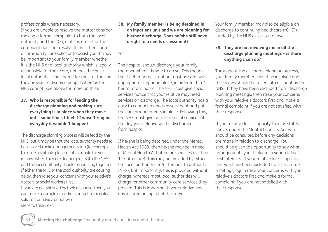professionals where necessary.

If you are unable to resolve the matter consider making a formal complaint to both the local authority and the CCG, or if it is urgent or the complaint does not resolve things, then contact a community care solicitor to assist you. It may be important to your family member whether it is the NHS or a local authority which is legally responsible for their care, not least because local authorities can charge for most of the care they provide to disabled people whereas the NHS cannot (see above for more on this).

#### **37. Who is responsible for leading the discharge planning and making sure everything is in place when they move out – sometimes I feel if I wasn't ringing everyday it wouldn't happen?**

The discharge planning process will be lead by the NHS, but it may be that the local authority needs to be involved make arrangements too (for example, to make a suitable placement available for your relative when they are discharged). Both the NHS and the local authority should be working together. If either the NHS or the local authority are causing delay, then raise your concerns with your relative's doctors or social workers first.

If you are not satisfied by their response, then you can make a complaint and/or contact a specialist solicitor for advice about what steps to take next.

#### **38. My family member is being detained in an inpatient unit and we are planning for his/her discharge. Does he/she still have a right to a needs assessment?**

Yes.

The hospital should discharge your family member when it is safe to do so. This means that his/her home situation must be safe, with appropriate support in place, in order for him/ her to return home. The NHS must give social services notice that your relative may need services on discharge. The local authority has a duty to conduct a needs assessment and put the care arrangements in place. Following this, the NHS must give notice to social services of the day your relative will be discharged from hospital.

If he/she is being detained under the Mental Health Act 1983, then he/she may be in need of Mental Health Act aftercare services (section 117 aftercare). This may be provided by either the local authority and/or the health authority (NHS), but importantly, this is provided without charge, whereas most local authorities will charge for other community care services they provide. This is important if your relative has any income or capital of their own.

Your family member may also be eligible on discharge to continuing healthcare ("CHC") funded by the NHS as set out above.

#### **39. They are not involving me in all the discharge planning meetings – is there anything I can do?**

Throughout the discharge planning process, your family member should be involved and their views should be taken into account by the NHS. If they have been excluded from discharge planning meetings, then raise your concerns with your relative's doctors first and make a formal complaint if you are not satisfied with their response.

If your relative lacks capacity then as stated above, under the Mental Capacity Act you should be consulted before any decisions are made in relation to discharge. You should be given the opportunity to say what arrangements you think are in your relative's best interests. If your relative lacks capacity and you have been excluded from discharge meetings, again raise your concerns with your relative's doctors first and make a formal complaint if you are not satisfied with their response.

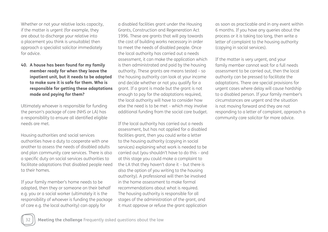Whether or not your relative lacks capacity, if the matter is urgent (for example, they are about to discharge your relative into a placement you think is unsuitable) then approach a specialist solicitor immediately for advice.

**40. A house has been found for my family member ready for when they leave the inpatient unit, but it needs to be adapted to make sure it is safe for them. Who is responsible for getting these adaptations made and paying for them?**

Ultimately whoever is responsible for funding the person's package of care (NHS or LA) has a responsibility to ensure all identified eligible needs are met.

Housing authorities and social services authorities have a duty to cooperate with one another to assess the needs of disabled adults and plan community care services. There is also a specific duty on social services authorities to facilitate adaptations that disabled people need to their homes.

If your family member's home needs to be adapted, then they or someone on their behalf e.g. you or a social worker (ultimately it is the responsibility of whoever is funding the package of care e.g. the local authority) can apply for

a disabled facilities grant under the Housing Grants, Construction and Regeneration Act 1996. These are grants that will pay towards the cost of building works necessary in order to meet the needs of disabled people. Once the local authority has carried out a needs assessment, it can make the application which is then administrated and paid by the housing authority. These grants are means tested – so the housing authority can look at your income and decide whether or not you qualify for a grant. If a grant is made but the grant is not enough to pay for the adaptations required, the local authority will have to consider how else the need is to be met – which may involve additional funding from the social care budget.

If the local authority has carried out a needs assessment, but has not applied for a disabled facilities grant, then you could write a letter to the housing authority (copying in social services) explaining what work is needed to be carried out (you shouldn't have to do this – and at this stage you could make a complaint to the LA that they haven't done it – but there is also the option of you writing to the housing authority). A professional will then be involved in the home assessment to make formal recommendations about what is required. The housing authority is responsible for all stages of the administration of the grant, and it must approve or refuse the grant application

as soon as practicable and in any event within 6 months. If you have any queries about the process or it is taking too long, then write a letter of complaint to the housing authority (copying in social services).

If the matter is very urgent, and your family member cannot wait for a full needs assessment to be carried out, then the local authority can be pressed to facilitate the adaptations. There are special provisions for urgent cases where delay will cause hardship to a disabled person. If your family member's circumstances are urgent and the situation is not moving forward and they are not responding to a letter of complaint, approach a community care solicitor for more advice.

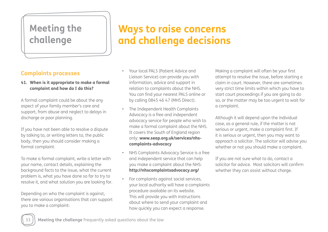# **Meeting the challenge**

# **Ways to raise concerns and challenge decisions**

# **Complaints processes**

**41. When is it appropriate to make a formal complaint and how do I do this?**

A formal complaint could be about the any aspect of your family member's care and support, from abuse and neglect to delays in discharge or poor planning.

If you have not been able to resolve a dispute by talking to, or writing letters to, the public body, then you should consider making a formal complaint.

To make a formal complaint, write a letter with your name, contact details, explaining the background facts to the issue, what the current problem is, what you have done so far to try to resolve it, and what solution you are looking for.

Depending on who the complaint is against, there are various organisations that can support you to make a complaint:

- Your local PALS (Patient Advice and Liaison Service) can provide you with information, advice and support in relation to complaints about the NHS. You can find your nearest PALS online or by calling 0845 46 47 (MHS Direct).
- The Independent Health Complaints Advocacy is a free and independent advocacy service for people who wish to make a formal complaint about the NHS. It covers the South of England region only: **www.seap.org.uk/services/nhscomplaints-advocacy**
- NHS Complaints Advocacy Service is a free and independent service that can help you make a complaint about the NHS: **http://nhscomplaintsadvocacy.org/**
- For complaints against social services, your local authority will have a complaints procedure available on its website. This will provide you with instructions about where to send your complaint and how quickly you can expect a response.

Making a complaint will often be your first attempt to resolve the issue, before starting a claim in court. However, there are sometimes very strict time limits within which you have to start court proceedings if you are going to do so, or the matter may be too urgent to wait for a complaint.

Although it will depend upon the individual case, as a general rule, if the matter is not serious or urgent, make a complaint first. If it is serious or urgent, then you may want to approach a solicitor. The solicitor will advise you whether or not you should make a complaint.

If you are not sure what to do, contact a solicitor for advice. Most solicitors will confirm whether they can assist without charge.

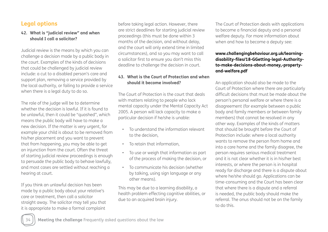## **Legal options**

#### **42. What is "judicial review" and when should I call a solicitor?**

Judicial review is the means by which you can challenge a decision made by a public body in the court. Examples of the kinds of decisions that could be challenged by judicial review include: a cut to a disabled person's care and support plan, removing a service provided by the local authority, or failing to provide a service when there is a legal duty to do so.

The role of the judge will be to determine whether the decision is lawful. If it is found to be unlawful, then it could be "quashed", which means the public body will have to make a new decision. If the matter is very urgent, for example your child is about to be removed from his/her placement and you want to prevent that from happening, you may be able to get an injunction from the court. Often the threat of starting judicial review proceedings is enough to persuade the public body to behave lawfully, and most cases are settled without reaching a hearing at court.

If you think an unlawful decision has been made by a public body about your relative's care or treatment, then call a solicitor straight away. The solicitor may tell you that it is appropriate to make a formal complaint

before taking legal action. However, there are strict deadlines for starting judicial review proceedings (this must be done within 3 months of the decision, and without delay, and the court will only extend time in limited circumstances), and so you may want to call a solicitor first to ensure you don't miss this deadline to challenge the decision in court.

#### **43. What is the Court of Protection and when should it become involved?**

The Court of Protection is the court that deals with matters relating to people who lack mental capacity under the Mental Capacity Act 2005. A person will lack capacity to make a particular decision if he/she is unable:

- To understand the information relevant to the decision,
- To retain that information,
- To use or weigh that information as part of the process of making the decision, or
- To communicate his decision (whether by talking, using sign language or any other means).

This may be due to a learning disability, a health problem effecting cognitive abilities, or due to an acquired brain injury.

The Court of Protection deals with applications to become a financial deputy and a personal welfare deputy. For more information about when and how to become a deputy see:

#### **www.challengingbehaviour.org.uk/learningdisability-files/18-GGetting-legal-Authorityto-make-decisions-about-money,-propertyand-welfare.pdf**

An application should also be made to the Court of Protection where there are particularly difficult decisions that must be made about the person's personal welfare or where there is a disagreement (for example between a public body and family members or between family members) that cannot be resolved in any other way. Examples of the kinds of matters that should be brought before the Court of Protection include: where a local authority wants to remove the person from home and into a care home and the family disagree, the person requires serious medical treatment and it is not clear whether it is in his/her best interests, or where the person is in hospital ready for discharge and there is a dispute about where he/she should go. Applications can be time-consuming and the Court has been clear that where there is a dispute and a referral is needed, the public body should make the referral. The onus should not be on the family to do this.

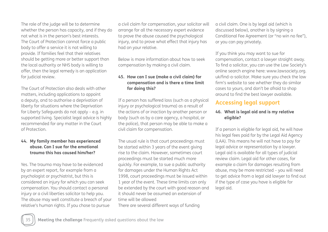The role of the judge will be to determine whether the person has capacity, and if they do not what is in the person's best interests. The Court of Protection cannot force a public body to offer a service it is not willing to provide. If families feel that their relatives should be getting more or better support than the local authority or NHS body is willing to offer, then the legal remedy is an application for judicial review.

The Court of Protection also deals with other matters, including applications to appoint a deputy, and to authorise a deprivation of liberty for situations where the Deprivation for Liberty Safeguards do not apply – e.g. in supported living. Specialist legal advice is highly recommended for any matter in the Court of Protection.

#### **44. My family member has experienced abuse. Can I sue for the emotional trauma this has caused him/her?**

Yes. The trauma may have to be evidenced by an expert report, for example from a psychologist or psychiatrist, but this is considered an injury for which you can seek compensation. You should contact a personal injury or a civil liberties solicitor to help you. The abuse may well constitute a breach of your relative's human rights. If you chose to pursue

a civil claim for compensation, your solicitor will arrange for all the necessary expert evidence to prove the abuse caused the psychological injury, and to prove what effect that injury has had on your relative.

Below is more information about how to seek compensation by making a civil claim.

#### **45. How can I sue (make a civil claim) for compensation and is there a time limit for doing this?**

If a person has suffered loss (such as a physical injury or psychological trauma) as a result of the actions of or inaction by another person or body (such as by a care agency, a hospital, or the police), that person may be able to make a civil claim for compensation.

The usual rule is that court proceedings must be started within 3 years of the event giving rise to the claim. However, sometimes court proceedings must be started much more quickly. For example, to sue a public authority for damages under the Human Rights Act 1998, court proceedings must be issued within 1 year of the event. These time limits can only be extended by the court with good reason and it should never be assumed an extension of time will be allowed There are several different ways of funding

a civil claim. One is by legal aid (which is discussed below), another is by signing a Conditional Fee Agreement (or "no win no fee"), or you can pay privately.

If you think you may want to sue for compensation, contact a lawyer straight away. To find a solicitor, you can use the Law Society's online search engine here: www.lawsociety.org. uk/find-a-solicitor. Make sure you check the law firm's website to see whether they do similar cases to yours, and don't be afraid to shop around to find the best lawyer available.

## **Accessing legal support**

#### **46. What is legal aid and is my relative eligible?**

If a person is eligible for legal aid, he will have his legal fees paid for by the Legal Aid Agency (LAA). This means he will not have to pay for legal advice or representation by a lawyer. Legal aid is available for all types of judicial review claim. Legal aid for other cases, for example a claim for damages resulting from abuse, may be more restricted – you will need to get advice from a legal aid lawyer to find out if the type of case you have is eligible for legal aid.

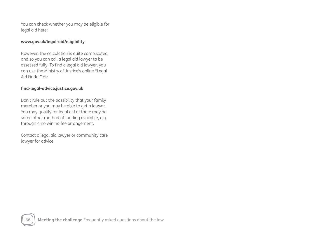You can check whether you may be eligible for legal aid here:

#### **www.gov.uk/legal-aid/eligibility**

However, the calculation is quite complicated and so you can call a legal aid lawyer to be assessed fully. To find a legal aid lawyer, you can use the Ministry of Justice's online "Legal Aid Finder" at:

#### **find-legal-advice.justice.gov.uk**

Don't rule out the possibility that your family member or you may be able to get a lawyer. You may qualify for legal aid or there may be some other method of funding available, e.g. through a no win no fee arrangement.

Contact a legal aid lawyer or community care lawyer for advice.